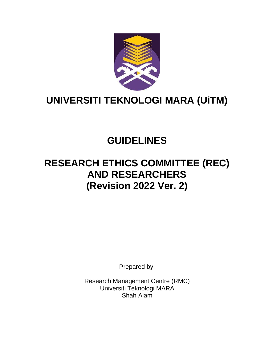

# **UNIVERSITI TEKNOLOGI MARA (UiTM)**

## **GUIDELINES**

## **RESEARCH ETHICS COMMITTEE (REC) AND RESEARCHERS (Revision 2022 Ver. 2)**

Prepared by:

Research Management Centre (RMC) Universiti Teknologi MARA Shah Alam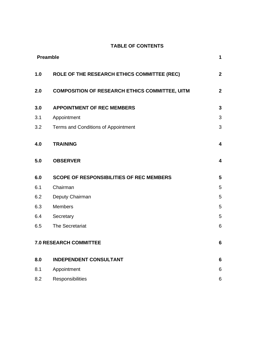#### **TABLE OF CONTENTS**

|     | <b>Preamble</b>                                       | $\mathbf{1}$            |
|-----|-------------------------------------------------------|-------------------------|
| 1.0 | ROLE OF THE RESEARCH ETHICS COMMITTEE (REC)           | $\overline{\mathbf{2}}$ |
| 2.0 | <b>COMPOSITION OF RESEARCH ETHICS COMMITTEE, UITM</b> | $\overline{\mathbf{2}}$ |
| 3.0 | <b>APPOINTMENT OF REC MEMBERS</b>                     | $\mathbf{3}$            |
| 3.1 | Appointment                                           | 3                       |
| 3.2 | Terms and Conditions of Appointment                   | 3                       |
| 4.0 | <b>TRAINING</b>                                       | 4                       |
| 5.0 | <b>OBSERVER</b>                                       | 4                       |
| 6.0 | <b>SCOPE OF RESPONSIBILITIES OF REC MEMBERS</b>       | $5\phantom{1}$          |
| 6.1 | Chairman                                              | 5                       |
| 6.2 | Deputy Chairman                                       | 5                       |
| 6.3 | Members                                               | 5                       |
| 6.4 | Secretary                                             | 5                       |
| 6.5 | The Secretariat                                       | 6                       |
|     | <b>7.0 RESEARCH COMMITTEE</b>                         | $6\phantom{a}$          |
| 8.0 | <b>INDEPENDENT CONSULTANT</b>                         | $6\phantom{1}$          |
| 8.1 | Appointment                                           | 6                       |
| 8.2 | Responsibilities                                      | 6                       |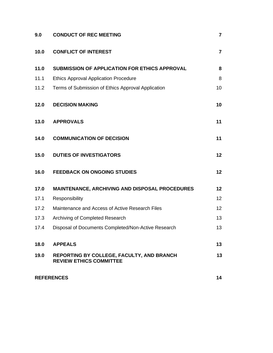| 9.0  | <b>CONDUCT OF REC MEETING</b>                                               | $\overline{7}$          |
|------|-----------------------------------------------------------------------------|-------------------------|
| 10.0 | <b>CONFLICT OF INTEREST</b>                                                 | $\overline{\mathbf{r}}$ |
| 11.0 | <b>SUBMISSION OF APPLICATION FOR ETHICS APPROVAL</b>                        | 8                       |
| 11.1 | <b>Ethics Approval Application Procedure</b>                                | 8                       |
| 11.2 | Terms of Submission of Ethics Approval Application                          | 10                      |
| 12.0 | <b>DECISION MAKING</b>                                                      | 10                      |
| 13.0 | <b>APPROVALS</b>                                                            | 11                      |
| 14.0 | <b>COMMUNICATION OF DECISION</b>                                            | 11                      |
| 15.0 | <b>DUTIES OF INVESTIGATORS</b>                                              | 12                      |
| 16.0 | <b>FEEDBACK ON ONGOING STUDIES</b>                                          | 12                      |
| 17.0 | <b>MAINTENANCE, ARCHIVING AND DISPOSAL PROCEDURES</b>                       | 12                      |
| 17.1 | Responsibility                                                              | 12                      |
| 17.2 | Maintenance and Access of Active Research Files                             | 12                      |
| 17.3 | Archiving of Completed Research                                             | 13                      |
| 17.4 | Disposal of Documents Completed/Non-Active Research                         | 13                      |
| 18.0 | <b>APPEALS</b>                                                              | 13                      |
| 19.0 | REPORTING BY COLLEGE, FACULTY, AND BRANCH<br><b>REVIEW ETHICS COMMITTEE</b> | 13                      |
|      | <b>REFERENCES</b>                                                           | 14                      |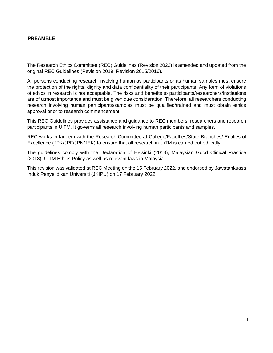## <span id="page-3-0"></span>**PREAMBLE**

The Research Ethics Committee (REC) Guidelines (Revision 2022) is amended and updated from the original REC Guidelines (Revision 2019, Revision 2015/2016).

All persons conducting research involving human as participants or as human samples must ensure the protection of the rights, dignity and data confidentiality of their participants. Any form of violations of ethics in research is not acceptable. The risks and benefits to participants/researchers/institutions are of utmost importance and must be given due consideration. Therefore, all researchers conducting research involving human participants/samples must be qualified/trained and must obtain ethics approval prior to research commencement.

This REC Guidelines provides assistance and guidance to REC members, researchers and research participants in UiTM. It governs all research involving human participants and samples.

REC works in tandem with the Research Committee at College/Faculties/State Branches/ Entities of Excellence (JPK/JPF/JPN/JEK) to ensure that all research in UiTM is carried out ethically.

The guidelines comply with the Declaration of Helsinki (2013), Malaysian Good Clinical Practice (2018), UiTM Ethics Policy as well as relevant laws in Malaysia.

This revision was validated at REC Meeting on the 15 February 2022, and endorsed by Jawatankuasa Induk Penyelidikan Universiti (JKIPU) on 17 February 2022.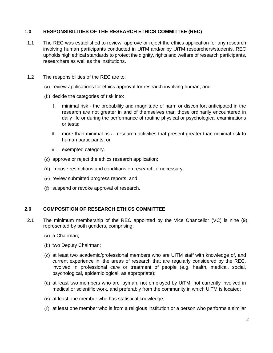## <span id="page-4-0"></span>**1.0 RESPONSIBILITIES OF THE RESEARCH ETHICS COMMITTEE (REC)**

- 1.1 The REC was established to review, approve or reject the ethics application for any research involving human participants conducted in UiTM and/or by UiTM researchers/students. REC upholds high ethical standards to protect the dignity, rights and welfare of research participants, researchers as well as the institutions.
- 1.2 The responsibilities of the REC are to:
	- (a) review applications for ethics approval for research involving human; and
	- (b) decide the categories of risk into:
		- i. minimal risk the probability and magnitude of harm or discomfort anticipated in the research are not greater in and of themselves than those ordinarily encountered in daily life or during the performance of routine physical or psychological examinations or tests;
		- ii. more than minimal risk research activities that present greater than minimal risk to human participants; or
		- iii. exempted category.
	- (c) approve or reject the ethics research application;
	- (d) impose restrictions and conditions on research, if necessary;
	- (e) review submitted progress reports; and
	- (f) suspend or revoke approval of research.

### <span id="page-4-1"></span>**2.0 COMPOSITION OF RESEARCH ETHICS COMMITTEE**

- 2.1 The minimum membership of the REC appointed by the Vice Chancellor (VC) is nine (9), represented by both genders, comprising:
	- (a) a Chairman;
	- (b) two Deputy Chairman;
	- (c) at least two academic/professional members who are UiTM staff with knowledge of, and current experience in, the areas of research that are regularly considered by the REC, involved in professional care or treatment of people (e.g. health, medical, social, psychological, epidemiological, as appropriate);
	- (d) at least two members who are layman, not employed by UiTM, not currently involved in medical or scientific work, and preferably from the community in which UiTM is located;
	- (e) at least one member who has statistical knowledge;
	- (f) at least one member who is from a religious institution or a person who performs a similar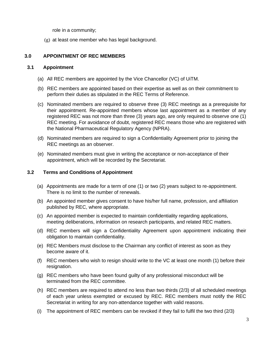role in a community;

(g) at least one member who has legal background.

## <span id="page-5-0"></span>**3.0 APPOINTMENT OF REC MEMBERS**

#### <span id="page-5-1"></span>**3.1 Appointment**

- (a) All REC members are appointed by the Vice Chancellor (VC) of UiTM.
- (b) REC members are appointed based on their expertise as well as on their commitment to perform their duties as stipulated in the REC Terms of Reference.
- (c) Nominated members are required to observe three (3) REC meetings as a prerequisite for their appointment. Re-appointed members whose last appointment as a member of any registered REC was not more than three (3) years ago, are only required to observe one (1) REC meeting. For avoidance of doubt, registered REC means those who are registered with the National Pharmaceutical Regulatory Agency (NPRA).
- (d) Nominated members are required to sign a Confidentiality Agreement prior to joining the REC meetings as an observer.
- (e) Nominated members must give in writing the acceptance or non-acceptance of their appointment, which will be recorded by the Secretariat.

#### <span id="page-5-2"></span>**3.2 Terms and Conditions of Appointment**

- (a) Appointments are made for a term of one (1) or two (2) years subject to re-appointment. There is no limit to the number of renewals.
- (b) An appointed member gives consent to have his/her full name, profession, and affiliation published by REC, where appropriate.
- (c) An appointed member is expected to maintain confidentiality regarding applications, meeting deliberations, information on research participants, and related REC matters.
- (d) REC members will sign a Confidentiality Agreement upon appointment indicating their obligation to maintain confidentiality.
- (e) REC Members must disclose to the Chairman any conflict of interest as soon as they become aware of it.
- (f) REC members who wish to resign should write to the VC at least one month (1) before their resignation.
- (g) REC members who have been found guilty of any professional misconduct will be terminated from the REC committee.
- (h) REC members are required to attend no less than two thirds (2/3) of all scheduled meetings of each year unless exempted or excused by REC. REC members must notify the REC Secretariat in writing for any non-attendance together with valid reasons.
- (i) The appointment of REC members can be revoked if they fail to fulfil the two third (2/3)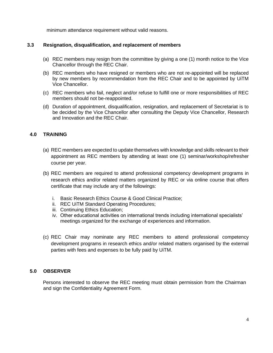minimum attendance requirement without valid reasons.

#### **3.3 Resignation, disqualification, and replacement of members**

- (a) REC members may resign from the committee by giving a one (1) month notice to the Vice Chancellor through the REC Chair.
- (b) REC members who have resigned or members who are not re-appointed will be replaced by new members by recommendation from the REC Chair and to be appointed by UiTM Vice Chancellor.
- (c) REC members who fail, neglect and/or refuse to fulfill one or more responsibilities of REC members should not be-reappointed.
- (d) Duration of appointment, disqualification, resignation, and replacement of Secretariat is to be decided by the Vice Chancellor after consulting the Deputy Vice Chancellor, Research and Innovation and the REC Chair.

#### <span id="page-6-0"></span>**4.0 TRAINING**

- (a) REC members are expected to update themselves with knowledge and skills relevant to their appointment as REC members by attending at least one (1) seminar/workshop/refresher course per year.
- (b) REC members are required to attend professional competency development programs in research ethics and/or related matters organized by REC or via online course that offers certificate that may include any of the followings:
	- i. Basic Research Ethics Course & Good Clinical Practice;
	- ii. REC UiTM Standard Operating Procedures;
	- iii. Continuing Ethics Education;
	- iv. Other educational activities on international trends including international specialists' meetings organized for the exchange of experiences and information.
- (c) REC Chair may nominate any REC members to attend professional competency development programs in research ethics and/or related matters organised by the external parties with fees and expenses to be fully paid by UiTM.

#### **5.0 OBSERVER**

<span id="page-6-1"></span>Persons interested to observe the REC meeting must obtain permission from the Chairman and sign the Confidentiality Agreement Form.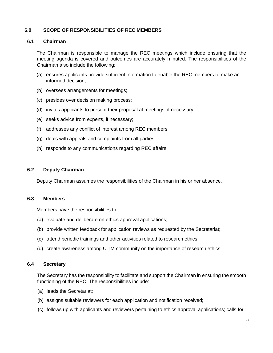## **6.0 SCOPE OF RESPONSIBILITIES OF REC MEMBERS**

#### <span id="page-7-0"></span>**6.1 Chairman**

The Chairman is responsible to manage the REC meetings which include ensuring that the meeting agenda is covered and outcomes are accurately minuted. The responsibilities of the Chairman also include the following:

- (a) ensures applicants provide sufficient information to enable the REC members to make an informed decision;
- (b) oversees arrangements for meetings;
- (c) presides over decision making process;
- (d) invites applicants to present their proposal at meetings, if necessary.
- (e) seeks advice from experts, if necessary;
- (f) addresses any conflict of interest among REC members;
- (g) deals with appeals and complaints from all parties;
- (h) responds to any communications regarding REC affairs.

#### <span id="page-7-1"></span>**6.2 Deputy Chairman**

Deputy Chairman assumes the responsibilities of the Chairman in his or her absence.

#### <span id="page-7-2"></span>**6.3 Members**

Members have the responsibilities to:

- (a) evaluate and deliberate on ethics approval applications;
- (b) provide written feedback for application reviews as requested by the Secretariat;
- (c) attend periodic trainings and other activities related to research ethics;
- (d) create awareness among UiTM community on the importance of research ethics.

#### **6.4 Secretary**

The Secretary has the responsibility to facilitate and support the Chairman in ensuring the smooth functioning of the REC. The responsibilities include:

- (a) leads the Secretariat;
- (b) assigns suitable reviewers for each application and notification received;
- (c) follows up with applicants and reviewers pertaining to ethics approval applications; calls for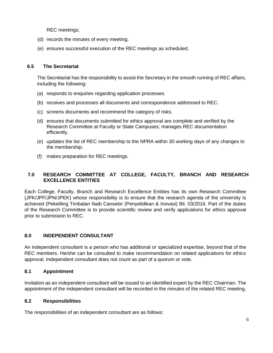REC meetings;

- (d) records the minutes of every meeting;
- (e) ensures successful execution of the REC meetings as scheduled.

## <span id="page-8-0"></span>**6.5 The Secretariat**

The Secretariat has the responsibility to assist the Secretary in the smooth running of REC affairs, including the following:

- (a) responds to enquiries regarding application processes.
- (b) receives and processes all documents and correspondence addressed to REC.
- (c) screens documents and recommend the category of risks.
- (d) ensures that documents submitted for ethics approval are complete and verified by the Research Committee at Faculty or State Campuses; manages REC documentation efficiently.
- (e) updates the list of REC membership to the NPRA within 30 working days of any changes to the membership.
- (f) makes preparation for REC meetings.

## <span id="page-8-1"></span>**7.0 RESEARCH COMMITTEE AT COLLEGE, FACULTY, BRANCH AND RESEARCH EXCELLENCE ENTITIES**

Each College, Faculty, Branch and Research Excellence Entities has its own Research Committee (JPK/JPF/JPN/JPEK) whose responsibility is to ensure that the research agenda of the university is achieved (Pekeliling Timbalan Naib Canselor (Penyelidikan & Inovasi) Bil. 03/2016. Part of the duties of the Research Committee is to provide scientific review and verify applications for ethics approval prior to submission to REC.

## <span id="page-8-2"></span>**8.0 INDEPENDENT CONSULTANT**

An independent consultant is a person who has additional or specialized expertise, beyond that of the REC members. He/she can be consulted to make recommendation on related applications for ethics approval. Independent consultant does not count as part of a quorum or vote.

## <span id="page-8-3"></span>**8.1 Appointment**

Invitation as an independent consultant will be issued to an identified expert by the REC Chairman. The appointment of the independent consultant will be recorded in the minutes of the related REC meeting.

## <span id="page-8-4"></span>**8.2 Responsibilities**

The responsibilities of an independent consultant are as follows: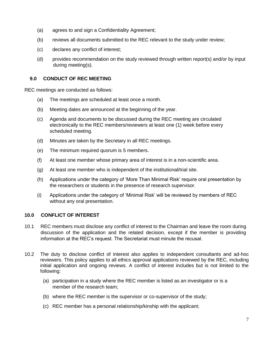- (a) agrees to and sign a Confidentiality Agreement;
- (b) reviews all documents submitted to the REC relevant to the study under review;
- (c) declares any conflict of interest;
- (d) provides recommendation on the study reviewed through written report(s) and/or by input during meeting(s).

## <span id="page-9-0"></span>**9.0 CONDUCT OF REC MEETING**

REC meetings are conducted as follows:

- (a) The meetings are scheduled at least once a month.
- (b) Meeting dates are announced at the beginning of the year.
- (c) Agenda and documents to be discussed during the REC meeting are circulated electronically to the REC members/reviewers at least one (1) week before every scheduled meeting.
- (d) Minutes are taken by the Secretary in all REC meetings.
- (e) The minimum required quorum is 5 members.
- (f) At least one member whose primary area of interest is in a non-scientific area.
- (g) At least one member who is independent of the institutional/trial site.
- (h) Applications under the category of 'More Than Minimal Risk' require oral presentation by the researchers or students in the presence of research supervisor.
- (i) Applications under the category of 'Minimal Risk' will be reviewed by members of REC without any oral presentation.

## <span id="page-9-1"></span>**10.0 CONFLICT OF INTEREST**

- 10.1 REC members must disclose any conflict of interest to the Chairman and leave the room during discussion of the application and the related decision, except if the member is providing information at the REC's request. The Secretariat must minute the recusal.
- 10.2 The duty to disclose conflict of interest also applies to independent consultants and ad-hoc reviewers. This policy applies to all ethics approval applications reviewed by the REC, including initial application and ongoing reviews. A conflict of interest includes but is not limited to the following:
	- (a) participation in a study where the REC member is listed as an investigator or is a member of the research team;
	- (b) where the REC member is the supervisor or co-supervisor of the study;
	- (c) REC member has a personal relationship/kinship with the applicant;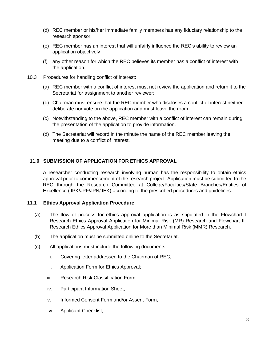- (d) REC member or his/her immediate family members has any fiduciary relationship to the research sponsor;
- (e) REC member has an interest that will unfairly influence the REC's ability to review an application objectively;
- (f) any other reason for which the REC believes its member has a conflict of interest with the application.
- 10.3 Procedures for handling conflict of interest:
	- (a) REC member with a conflict of interest must not review the application and return it to the Secretariat for assignment to another reviewer;
	- (b) Chairman must ensure that the REC member who discloses a conflict of interest neither deliberate nor vote on the application and must leave the room.
	- (c) Notwithstanding to the above, REC member with a conflict of interest can remain during the presentation of the application to provide information.
	- (d) The Secretariat will record in the minute the name of the REC member leaving the meeting due to a conflict of interest.

#### <span id="page-10-0"></span>**11.0 SUBMISSION OF APPLICATION FOR ETHICS APPROVAL**

A researcher conducting research involving human has the responsibility to obtain ethics approval prior to commencement of the research project. Application must be submitted to the REC through the Research Committee at College/Faculties/State Branches/Entities of Excellence (JPK/JPF/JPN/JEK) according to the prescribed procedures and guidelines.

#### <span id="page-10-1"></span>**11.1 Ethics Approval Application Procedure**

- (a) The flow of process for ethics approval application is as stipulated in the Flowchart I Research Ethics Approval Application for Minimal Risk (MR) Research and Flowchart II: Research Ethics Approval Application for More than Minimal Risk (MMR) Research.
- (b) The application must be submitted online to the Secretariat.
- (c) All applications must include the following documents:
	- i. Covering letter addressed to the Chairman of REC;
	- ii. Application Form for Ethics Approval;
	- iii. Research Risk Classification Form;
	- iv. Participant Information Sheet;
	- v. Informed Consent Form and/or Assent Form;
	- vi. Applicant Checklist;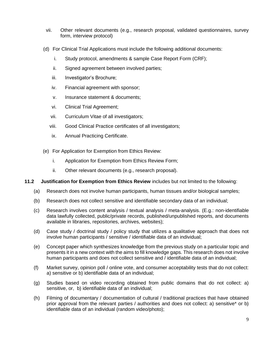- vii. Other relevant documents (e.g., research proposal, validated questionnaires, survey form, interview protocol)
- (d) For Clinical Trial Applications must include the following additional documents:
	- i. Study protocol, amendments & sample Case Report Form (CRF);
	- ii. Signed agreement between involved parties;
	- iii. Investigator's Brochure;
	- iv. Financial agreement with sponsor;
	- v. Insurance statement & documents;
	- vi. Clinical Trial Agreement;
	- vii. Curriculum Vitae of all investigators;
	- viii. Good Clinical Practice certificates of all investigators;
	- ix. Annual Practicing Certificate.
- (e) For Application for Exemption from Ethics Review:
	- i. Application for Exemption from Ethics Review Form;
	- ii. Other relevant documents (e.g., research proposal).

#### **11.2 Justification for Exemption from Ethics Review** includes but not limited to the following:

- (a) Research does not involve human participants, human tissues and/or biological samples;
- (b) Research does not collect sensitive and identifiable secondary data of an individual;
- (c) Research involves content analysis / textual analysis / meta-analysis. (E.g.: non-identifiable data lawfully collected, public/private records, published/unpublished reports, and documents available in libraries, repositories, archives, websites);
- (d) Case study / doctrinal study / policy study that utilizes a qualitative approach that does not involve human participants / sensitive / identifiable data of an individual;
- (e) Concept paper which synthesizes knowledge from the previous study on a particular topic and presents it in a new context with the aims to fill knowledge gaps. This research does not involve human participants and does not collect sensitive and / identifiable data of an individual;
- (f) Market survey, opinion poll / online vote, and consumer acceptability tests that do not collect: a) sensitive or b) identifiable data of an individual;
- (g) Studies based on video recording obtained from public domains that do not collect: a) sensitive, or, b) identifiable data of an individual;
- (h) Filming of documentary / documentation of cultural / traditional practices that have obtained prior approval from the relevant parties / authorities and does not collect: a) sensitive\* or b) identifiable data of an individual (random video/photo);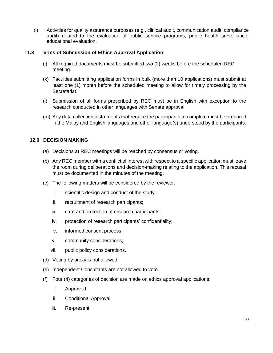(i) Activities for quality assurance purposes (e.g., clinical audit, communication audit, compliance audit) related to the evaluation of public service programs, public health surveillance, educational evaluation.

#### **11.3 Terms of Submission of Ethics Approval Application**

- (j) All required documents must be submitted two (2) weeks before the scheduled REC meeting.
- (k) Faculties submitting application forms in bulk (more than 10 applications) must submit at least one (1) month before the scheduled meeting to allow for timely processing by the Secretariat.
- (l) Submission of all forms prescribed by REC must be in English with exception to the research conducted in other languages with Senate approval.
- (m) Any data collection instruments that require the participants to complete must be prepared in the Malay and English languages and other language(s) understood by the participants.

#### <span id="page-12-0"></span>**12.0 DECISION MAKING**

- (a) Decisions at REC meetings will be reached by consensus or voting.
- (b) Any REC member with a conflict of interest with respect to a specific application must leave the room during deliberations and decision-making relating to the application. This recusal must be documented in the minutes of the meeting.
- (c) The following matters will be considered by the reviewer:
	- i. scientific design and conduct of the study;
	- ii. recruitment of research participants;
	- iii. care and protection of research participants;
	- iv. protection of research participants' confidentiality;
	- v. informed consent process;
	- vi. community considerations;
	- vii. public policy considerations.
- (d) Voting by proxy is not allowed.
- (e) Independent Consultants are not allowed to vote.
- (f) Four (4) categories of decision are made on ethics approval applications:
	- i. Approved
	- ii. Conditional Approval
	- iii. Re-present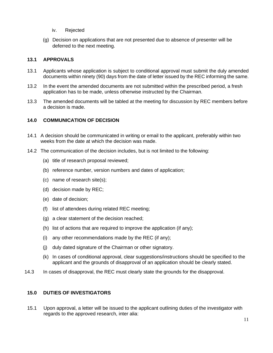- iv. Rejected
- (g) Decision on applications that are not presented due to absence of presenter will be deferred to the next meeting.

## <span id="page-13-0"></span>**13.1 APPROVALS**

- 13.1 Applicants whose application is subject to conditional approval must submit the duly amended documents within ninety (90) days from the date of letter issued by the REC informing the same.
- 13.2 In the event the amended documents are not submitted within the prescribed period, a fresh application has to be made, unless otherwise instructed by the Chairman.
- 13.3 The amended documents will be tabled at the meeting for discussion by REC members before a decision is made.

#### <span id="page-13-1"></span>**14.0 COMMUNICATION OF DECISION**

- 14.1 A decision should be communicated in writing or email to the applicant, preferably within two weeks from the date at which the decision was made.
- 14.2 The communication of the decision includes, but is not limited to the following:
	- (a) title of research proposal reviewed;
	- (b) reference number, version numbers and dates of application;
	- (c) name of research site(s);
	- (d) decision made by REC;
	- (e) date of decision;
	- (f) list of attendees during related REC meeting;
	- (g) a clear statement of the decision reached;
	- (h) list of actions that are required to improve the application (if any);
	- (i) any other recommendations made by the REC (if any);
	- (j) duly dated signature of the Chairman or other signatory.
	- (k) In cases of conditional approval, clear suggestions/instructions should be specified to the applicant and the grounds of disapproval of an application should be clearly stated.
- 14.3 In cases of disapproval, the REC must clearly state the grounds for the disapproval.

#### <span id="page-13-2"></span>**15.0 DUTIES OF INVESTIGATORS**

15.1 Upon approval, a letter will be issued to the applicant outlining duties of the investigator with regards to the approved research, inter alia: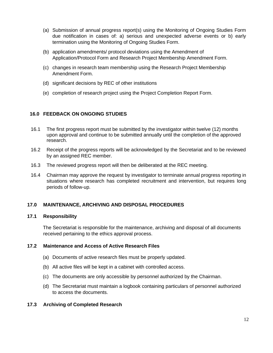- (a) Submission of annual progress report(s) using the Monitoring of Ongoing Studies Form due notification in cases of: a) serious and unexpected adverse events or b) early termination using the Monitoring of Ongoing Studies Form.
- (b) application amendments/ protocol deviations using the Amendment of Application/Protocol Form and Research Project Membership Amendment Form.
- (c) changes in research team membership using the Research Project Membership Amendment Form.
- (d) significant decisions by REC of other institutions
- (e) completion of research project using the Project Completion Report Form.

#### <span id="page-14-0"></span>**16.0 FEEDBACK ON ONGOING STUDIES**

- 16.1 The first progress report must be submitted by the investigator within twelve (12) months upon approval and continue to be submitted annually until the completion of the approved research.
- 16.2 Receipt of the progress reports will be acknowledged by the Secretariat and to be reviewed by an assigned REC member.
- 16.3 The reviewed progress report will then be deliberated at the REC meeting.
- 16.4 Chairman may approve the request by investigator to terminate annual progress reporting in situations where research has completed recruitment and intervention, but requires long periods of follow-up.

#### **17.0 MAINTENANCE, ARCHIVING AND DISPOSAL PROCEDURES**

#### <span id="page-14-1"></span>**17.1 Responsibility**

The Secretariat is responsible for the maintenance, archiving and disposal of all documents received pertaining to the ethics approval process.

#### <span id="page-14-2"></span>**17.2 Maintenance and Access of Active Research Files**

- (a) Documents of active research files must be properly updated.
- (b) All active files will be kept in a cabinet with controlled access.
- (c) The documents are only accessible by personnel authorized by the Chairman.
- (d) The Secretariat must maintain a logbook containing particulars of personnel authorized to access the documents.

#### <span id="page-14-3"></span>**17.3 Archiving of Completed Research**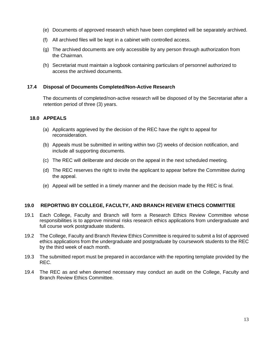- (e) Documents of approved research which have been completed will be separately archived.
- (f) All archived files will be kept in a cabinet with controlled access.
- (g) The archived documents are only accessible by any person through authorization from the Chairman.
- (h) Secretariat must maintain a logbook containing particulars of personnel authorized to access the archived documents.

#### <span id="page-15-0"></span>**17.4 Disposal of Documents Completed/Non-Active Research**

The documents of completed/non-active research will be disposed of by the Secretariat after a retention period of three (3) years.

#### <span id="page-15-1"></span>**18.0 APPEALS**

- (a) Applicants aggrieved by the decision of the REC have the right to appeal for reconsideration.
- (b) Appeals must be submitted in writing within two (2) weeks of decision notification, and include all supporting documents.
- (c) The REC will deliberate and decide on the appeal in the next scheduled meeting.
- (d) The REC reserves the right to invite the applicant to appear before the Committee during the appeal.
- (e) Appeal will be settled in a timely manner and the decision made by the REC is final.

#### **19.0 REPORTING BY COLLEGE, FACULTY, AND BRANCH REVIEW ETHICS COMMITTEE**

- 19.1 Each College, Faculty and Branch will form a Research Ethics Review Committee whose responsibilities is to approve minimal risks research ethics applications from undergraduate and full course work postgraduate students.
- 19.2 The College, Faculty and Branch Review Ethics Committee is required to submit a list of approved ethics applications from the undergraduate and postgraduate by coursework students to the REC by the third week of each month.
- 19.3 The submitted report must be prepared in accordance with the reporting template provided by the REC.
- <span id="page-15-2"></span>19.4 The REC as and when deemed necessary may conduct an audit on the College, Faculty and Branch Review Ethics Committee.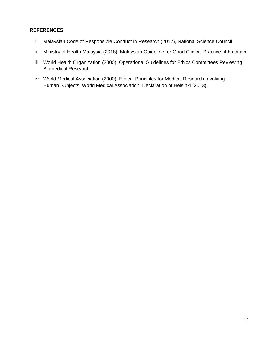## **REFERENCES**

- i. Malaysian Code of Responsible Conduct in Research (2017), National Science Council.
- ii. Ministry of Health Malaysia (2018). Malaysian Guideline for Good Clinical Practice. 4th edition.
- iii. World Health Organization (2000). Operational Guidelines for Ethics Committees Reviewing Biomedical Research.
- iv. World Medical Association (2000). Ethical Principles for Medical Research Involving Human Subjects. World Medical Association. Declaration of Helsinki (2013).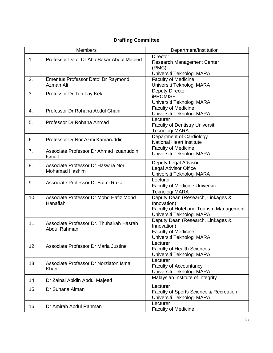## **Drafting Committee**

|     | <b>Members</b>                                              | Department/Institution                                                                                                   |
|-----|-------------------------------------------------------------|--------------------------------------------------------------------------------------------------------------------------|
| 1.  | Professor Dato' Dr Abu Bakar Abdul Majeed                   | <b>Director</b><br><b>Research Management Center</b><br>(RMC)                                                            |
|     |                                                             | Universiti Teknologi MARA                                                                                                |
| 2.  | Emeritus Professor Dato' Dr Raymond<br>Azman Ali            | <b>Faculty of Medicine</b><br>Universiti Teknologi MARA                                                                  |
| 3.  | Professor Dr Teh Lay Kek                                    | <b>Deputy Director</b><br><b>iPROMISE</b><br>Universiti Teknologi MARA                                                   |
| 4.  | Professor Dr Rohana Abdul Ghani                             | <b>Faculty of Medicine</b><br>Universiti Teknologi MARA                                                                  |
| 5.  | Professor Dr Rohana Ahmad                                   | Lecturer<br><b>Faculty of Dentistry Universiti</b><br>Teknologi MARA                                                     |
| 6.  | Professor Dr Nor Azmi Kamaruddin                            | Department of Cardiology<br><b>National Heart Institute</b>                                                              |
| 7.  | Associate Professor Dr Ahmad Izuanuddin<br>Ismail           | <b>Faculty of Medicine</b><br>Universiti Teknologi MARA                                                                  |
| 8.  | Associate Professor Dr Haswira Nor<br><b>Mohamad Hashim</b> | Deputy Legal Advisor<br><b>Legal Advisor Office</b><br>Universiti Teknologi MARA                                         |
| 9.  | Associate Professor Dr Salmi Razali                         | Lecturer<br><b>Faculty of Medicine Universiti</b><br>Teknologi MARA                                                      |
| 10. | Associate Professor Dr Mohd Hafiz Mohd<br>Hanafiah          | Deputy Dean (Research, Linkages &<br>Innovation)<br>Faculty of Hotel and Tourism Management<br>Universiti Teknologi MARA |
| 11. | Associate Professor Dr. Thuhairah Hasrah<br>Abdul Rahman    | Deputy Dean (Research, Linkages &<br>Innovation)<br><b>Faculty of Medicine</b><br>Universiti Teknologi MARA              |
| 12. | Associate Professor Dr Maria Justine                        | Lecturer<br><b>Faculty of Health Sciences</b><br>Universiti Teknologi MARA                                               |
| 13. | Associate Professor Dr Norziaton Ismail<br>Khan             | Lecturer<br><b>Faculty of Accountancy</b><br>Universiti Teknologi MARA                                                   |
| 14. | Dr Zainal Abidin Abdul Majeed                               | Malaysian Institute of Integrity                                                                                         |
| 15. | Dr Suhana Aiman                                             | Lecturer<br>Faculty of Sports Science & Recreation,<br>Universiti Teknologi MARA                                         |
| 16. | Dr Amirah Abdul Rahman                                      | Lecturer<br><b>Faculty of Medicine</b>                                                                                   |